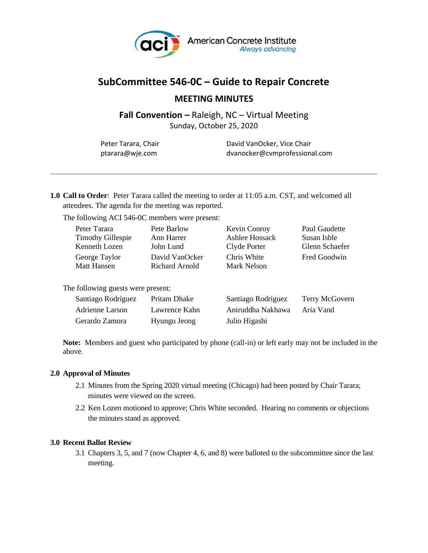

# **SubCommittee 546-0C – Guide to Repair Concrete**

## **MEETING MINUTES**

**Fall Convention –** Raleigh, NC – Virtual Meeting

Sunday, October 25, 2020

| Peter Tarara, Chair |  |
|---------------------|--|
| ptarara@wje.com     |  |

David VanOcker, Vice Chair ptarara@wje.com dvanocker@cvmprofessional.com

**1.0 Call to Order**: Peter Tarara called the meeting to order at 11:05 a.m. CST, and welcomed all attendees. The agenda for the meeting was reported.

The following ACI 546-0C members were present:

| Peter Tarara             | Pete Barlow    | Kevin Conroy   | Paul Gaudette  |
|--------------------------|----------------|----------------|----------------|
| <b>Timothy Gillespie</b> | Ann Harrer     | Ashlee Hossack | Susan Isble    |
| Kenneth Lozen            | John Lund      | Clyde Porter   | Glenn Schaefer |
| George Taylor            | David VanOcker | Chris White    | Fred Goodwin   |
| <b>Matt Hansen</b>       | Richard Arnold | Mark Nelson    |                |
|                          |                |                |                |

The following guests were present:

| Santiago Rodriguez | Pritam Dhake  | Santiago Rodriguez | Terry McGovern |
|--------------------|---------------|--------------------|----------------|
| Adrienne Larson    | Lawrence Kahn | Aniruddha Nakhawa  | Aria Vand      |
| Gerardo Zamora     | Hyungu Jeong  | Julio Higashi      |                |

**Note:** Members and guest who participated by phone (call-in) or left early may not be included in the above.

### **2.0 Approval of Minutes**

- 2.1 Minutes from the Spring 2020 virtual meeting (Chicago) had been posted by Chair Tarara; minutes were viewed on the screen.
- 2.2 Ken Lozen motioned to approve; Chris White seconded. Hearing no comments or objections the minutes stand as approved.

### **3.0 Recent Ballot Review**

3.1 Chapters 3, 5, and 7 (now Chapter 4, 6, and 8) were balloted to the subcommittee since the last meeting.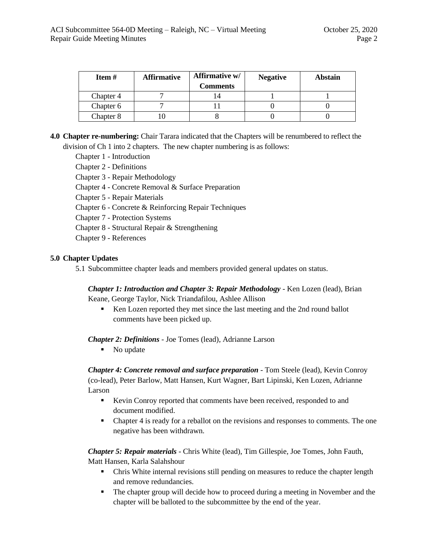| Item #    | <b>Affirmative</b> | Affirmative w/<br><b>Comments</b> | <b>Negative</b> | Abstain |
|-----------|--------------------|-----------------------------------|-----------------|---------|
| Chapter 4 |                    |                                   |                 |         |
| Chapter 6 |                    |                                   |                 |         |
| Chapter 8 |                    |                                   |                 |         |

**4.0 Chapter re-numbering:** Chair Tarara indicated that the Chapters will be renumbered to reflect the division of Ch 1 into 2 chapters. The new chapter numbering is as follows:

Chapter 1 - Introduction

Chapter 2 - Definitions

Chapter 3 - Repair Methodology

Chapter 4 - Concrete Removal & Surface Preparation

Chapter 5 - Repair Materials

Chapter 6 - Concrete & Reinforcing Repair Techniques

Chapter 7 - Protection Systems

Chapter 8 - Structural Repair & Strengthening

Chapter 9 - References

#### **5.0 Chapter Updates**

5.1 Subcommittee chapter leads and members provided general updates on status.

*Chapter 1: Introduction and Chapter 3: Repair Methodology* - Ken Lozen (lead), Brian Keane, George Taylor, Nick Triandafilou, Ashlee Allison

■ Ken Lozen reported they met since the last meeting and the 2nd round ballot comments have been picked up.

*Chapter 2: Definitions* - Joe Tomes (lead), Adrianne Larson

■ No update

*Chapter 4: Concrete removal and surface preparation* - Tom Steele (lead), Kevin Conroy (co-lead), Peter Barlow, Matt Hansen, Kurt Wagner, Bart Lipinski, Ken Lozen, Adrianne Larson

- Kevin Conroy reported that comments have been received, responded to and document modified.
- **•** Chapter 4 is ready for a reballot on the revisions and responses to comments. The one negative has been withdrawn.

*Chapter 5: Repair materials* - Chris White (lead), Tim Gillespie, Joe Tomes, John Fauth, Matt Hansen, Karla Salahshour

- Chris White internal revisions still pending on measures to reduce the chapter length and remove redundancies.
- The chapter group will decide how to proceed during a meeting in November and the chapter will be balloted to the subcommittee by the end of the year.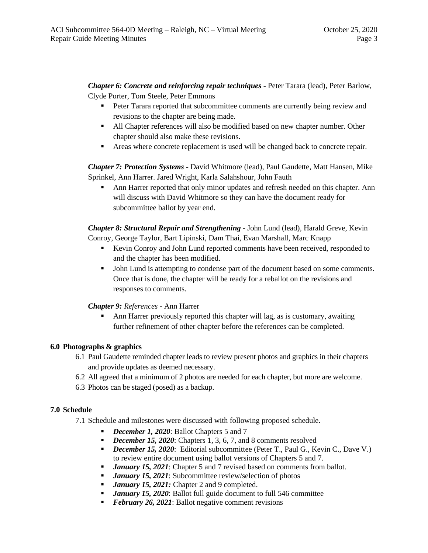*Chapter 6: Concrete and reinforcing repair techniques* - Peter Tarara (lead), Peter Barlow, Clyde Porter, Tom Steele, Peter Emmons

- **•** Peter Tarara reported that subcommittee comments are currently being review and revisions to the chapter are being made.
- All Chapter references will also be modified based on new chapter number. Other chapter should also make these revisions.
- Areas where concrete replacement is used will be changed back to concrete repair.

*Chapter 7: Protection Systems* - David Whitmore (lead), Paul Gaudette, Matt Hansen, Mike Sprinkel, Ann Harrer. Jared Wright, Karla Salahshour, John Fauth

Ann Harrer reported that only minor updates and refresh needed on this chapter. Ann will discuss with David Whitmore so they can have the document ready for subcommittee ballot by year end.

*Chapter 8: Structural Repair and Strengthening* - John Lund (lead), Harald Greve, Kevin Conroy, George Taylor, Bart Lipinski, Dam Thai, Evan Marshall, Marc Knapp

- Kevin Conroy and John Lund reported comments have been received, responded to and the chapter has been modified.
- John Lund is attempting to condense part of the document based on some comments. Once that is done, the chapter will be ready for a reballot on the revisions and responses to comments.

*Chapter 9: References* - Ann Harrer

Ann Harrer previously reported this chapter will lag, as is customary, awaiting further refinement of other chapter before the references can be completed.

### **6.0 Photographs & graphics**

- 6.1 Paul Gaudette reminded chapter leads to review present photos and graphics in their chapters and provide updates as deemed necessary.
- 6.2 All agreed that a minimum of 2 photos are needed for each chapter, but more are welcome.
- 6.3 Photos can be staged (posed) as a backup.

### **7.0 Schedule**

- 7.1 Schedule and milestones were discussed with following proposed schedule.
	- *December 1, 2020:* Ballot Chapters 5 and 7
	- *December 15, 2020*: Chapters 1, 3, 6, 7, and 8 comments resolved
	- **•** *December 15, 2020*: Editorial subcommittee (Peter T., Paul G., Kevin C., Dave V.) to review entire document using ballot versions of Chapters 5 and 7.
	- **•** *January 15, 2021:* Chapter 5 and 7 revised based on comments from ballot.
	- *January 15, 2021:* Subcommittee review/selection of photos
	- *January 15, 2021:* Chapter 2 and 9 completed.
	- *January 15, 2020*: Ballot full guide document to full 546 committee
	- **•** *February 26, 2021*: Ballot negative comment revisions